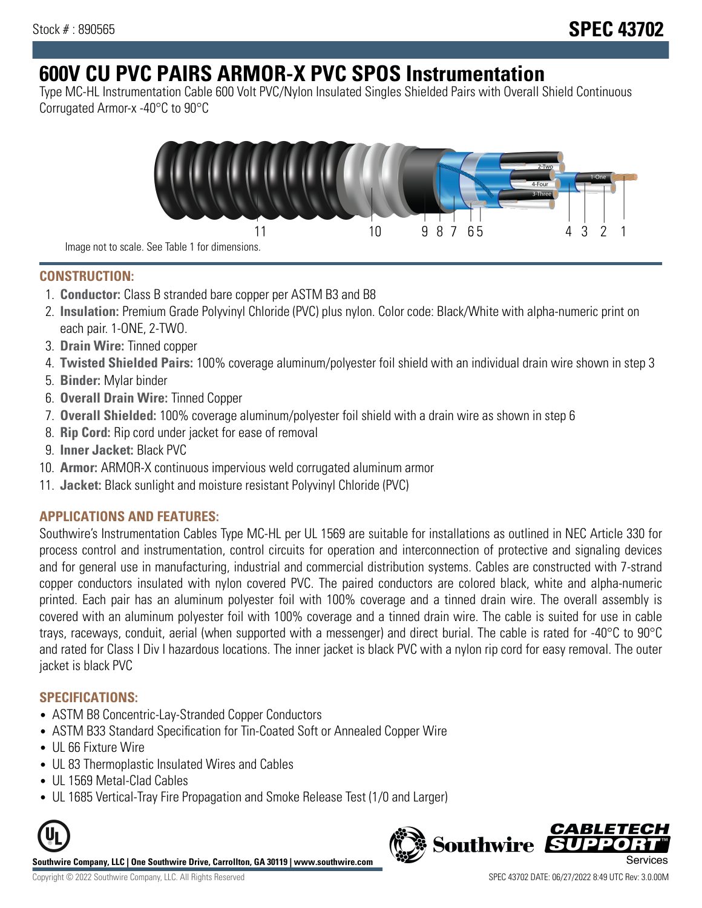# **600V CU PVC PAIRS ARMOR-X PVC SPOS Instrumentation**

Type MC-HL Instrumentation Cable 600 Volt PVC/Nylon Insulated Singles Shielded Pairs with Overall Shield Continuous Corrugated Armor-x -40°C to 90°C



**CONSTRUCTION:**

- 1. **Conductor:** Class B stranded bare copper per ASTM B3 and B8
- 2. **Insulation:** Premium Grade Polyvinyl Chloride (PVC) plus nylon. Color code: Black/White with alpha-numeric print on each pair. 1-ONE, 2-TWO.
- 3. **Drain Wire:** Tinned copper
- 4. **Twisted Shielded Pairs:** 100% coverage aluminum/polyester foil shield with an individual drain wire shown in step 3
- 5. **Binder:** Mylar binder
- 6. **Overall Drain Wire:** Tinned Copper
- 7. **Overall Shielded:** 100% coverage aluminum/polyester foil shield with a drain wire as shown in step 6
- 8. **Rip Cord:** Rip cord under jacket for ease of removal
- 9. **Inner Jacket:** Black PVC
- 10. **Armor:** ARMOR-X continuous impervious weld corrugated aluminum armor
- 11. **Jacket:** Black sunlight and moisture resistant Polyvinyl Chloride (PVC)

# **APPLICATIONS AND FEATURES:**

Southwire's Instrumentation Cables Type MC-HL per UL 1569 are suitable for installations as outlined in NEC Article 330 for process control and instrumentation, control circuits for operation and interconnection of protective and signaling devices and for general use in manufacturing, industrial and commercial distribution systems. Cables are constructed with 7-strand copper conductors insulated with nylon covered PVC. The paired conductors are colored black, white and alpha-numeric printed. Each pair has an aluminum polyester foil with 100% coverage and a tinned drain wire. The overall assembly is covered with an aluminum polyester foil with 100% coverage and a tinned drain wire. The cable is suited for use in cable trays, raceways, conduit, aerial (when supported with a messenger) and direct burial. The cable is rated for -40°C to 90°C and rated for Class I Div I hazardous locations. The inner jacket is black PVC with a nylon rip cord for easy removal. The outer jacket is black PVC

## **SPECIFICATIONS:**

- ASTM B8 Concentric-Lay-Stranded Copper Conductors
- ASTM B33 Standard Specification for Tin-Coated Soft or Annealed Copper Wire
- UL 66 Fixture Wire
- UL 83 Thermoplastic Insulated Wires and Cables
- UL 1569 Metal-Clad Cables
- UL 1685 Vertical-Tray Fire Propagation and Smoke Release Test (1/0 and Larger)



**Southwire Company, LLC | One Southwire Drive, Carrollton, GA 30119 | www.southwire.com**